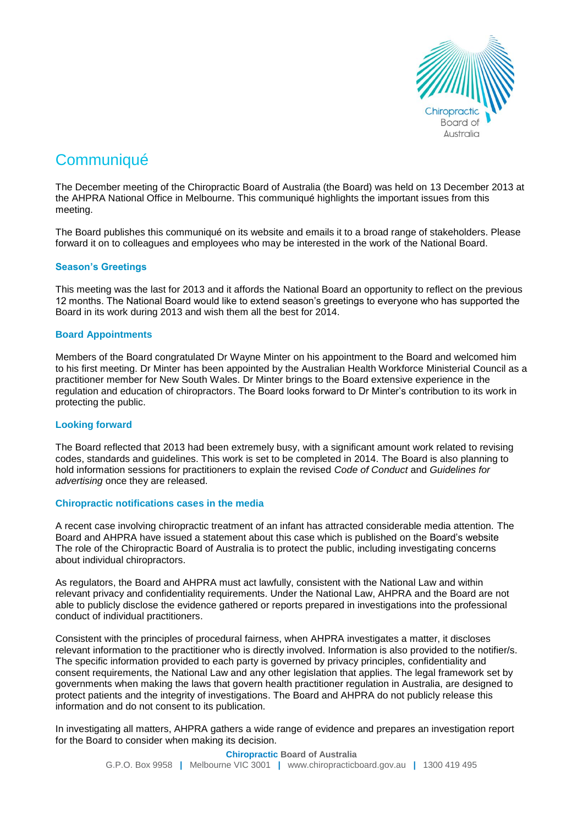

# **Communiqué**

The December meeting of the Chiropractic Board of Australia (the Board) was held on 13 December 2013 at the AHPRA National Office in Melbourne. This communiqué highlights the important issues from this meeting.

The Board publishes this communiqué on its website and emails it to a broad range of stakeholders. Please forward it on to colleagues and employees who may be interested in the work of the National Board.

## **Season's Greetings**

This meeting was the last for 2013 and it affords the National Board an opportunity to reflect on the previous 12 months. The National Board would like to extend season's greetings to everyone who has supported the Board in its work during 2013 and wish them all the best for 2014.

## **Board Appointments**

Members of the Board congratulated Dr Wayne Minter on his appointment to the Board and welcomed him to his first meeting. Dr Minter has been appointed by the Australian Health Workforce Ministerial Council as a practitioner member for New South Wales. Dr Minter brings to the Board extensive experience in the regulation and education of chiropractors. The Board looks forward to Dr Minter's contribution to its work in protecting the public.

## **Looking forward**

The Board reflected that 2013 had been extremely busy, with a significant amount work related to revising codes, standards and guidelines. This work is set to be completed in 2014. The Board is also planning to hold information sessions for practitioners to explain the revised *Code of Conduct* and *Guidelines for advertising* once they are released.

## **Chiropractic notifications cases in the media**

A recent case involving chiropractic treatment of an infant has attracted considerable media attention. The Board and AHPRA have issued a statement about this case which is published on the [Board's website](http://www.chiropracticboard.gov.au/News/2013-10-25-media-release-statement.aspx) The role of the Chiropractic Board of Australia is to protect the public, including investigating concerns about individual chiropractors.

As regulators, the Board and AHPRA must act lawfully, consistent with the National Law and within relevant privacy and confidentiality requirements. Under the National Law, AHPRA and the Board are not able to publicly disclose the evidence gathered or reports prepared in investigations into the professional conduct of individual practitioners.

Consistent with the principles of procedural fairness, when AHPRA investigates a matter, it discloses relevant information to the practitioner who is directly involved. Information is also provided to the notifier/s. The specific information provided to each party is governed by privacy principles, confidentiality and consent requirements, the National Law and any other legislation that applies. The legal framework set by governments when making the laws that govern health practitioner regulation in Australia, are designed to protect patients and the integrity of investigations. The Board and AHPRA do not publicly release this information and do not consent to its publication.

In investigating all matters, AHPRA gathers a wide range of evidence and prepares an investigation report for the Board to consider when making its decision.